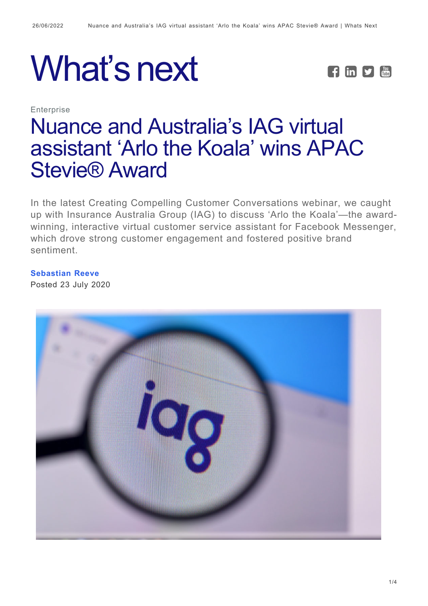



**Enterprise** 

# [Nuance and Australia's IAG virtual](https://whatsnext.nuance.com/en-gb/enterprise/nuance-and-australias-iag-virtual-assistant-arlo-the-koala-wins-apac-stevie-award/) [assistant 'Arlo the Koala' wins APAC](https://whatsnext.nuance.com/en-gb/enterprise/nuance-and-australias-iag-virtual-assistant-arlo-the-koala-wins-apac-stevie-award/) [Stevie® Award](https://whatsnext.nuance.com/en-gb/enterprise/nuance-and-australias-iag-virtual-assistant-arlo-the-koala-wins-apac-stevie-award/)

In the latest Creating Compelling Customer Conversations webinar, we caught up with Insurance Australia Group (IAG) to discuss 'Arlo the Koala'—the awardwinning, interactive virtual customer service assistant for Facebook Messenger, which drove strong customer engagement and fostered positive brand sentiment.

#### **[Sebastian Reeve](https://whatsnext.nuance.com/en-gb/author/sebastian-reeve/)**

Posted 23 July 2020

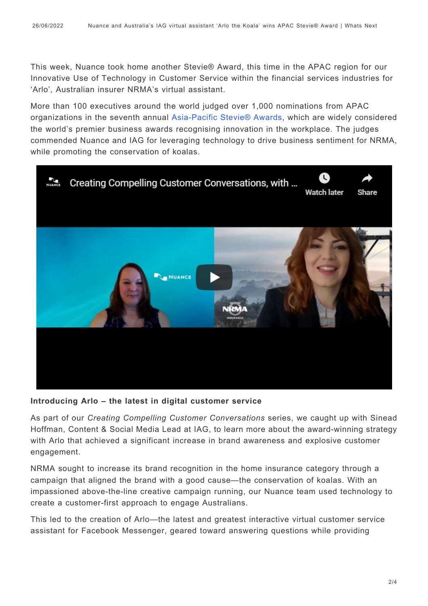This week, Nuance took home another Stevie® Award, this time in the APAC region for our Innovative Use of Technology in Customer Service within the financial services industries for 'Arlo', Australian insurer NRMA's virtual assistant.

More than 100 executives around the world judged over 1,000 nominations from APAC organizations in the seventh annual [Asia-Pacific Stevie® Awards,](http://asia.stevieawards.com/) which are widely considered the world's premier business awards recognising innovation in the workplace. The judges commended Nuance and IAG for leveraging technology to drive business sentiment for NRMA, while promoting the conservation of koalas.



#### **Introducing Arlo – the latest in digital customer service**

As part of our *Creating Compelling Customer Conversations* series, we caught up with Sinead Hoffman, Content & Social Media Lead at IAG, to learn more about the award-winning strategy with Arlo that achieved a significant increase in brand awareness and explosive customer engagement.

NRMA sought to increase its brand recognition in the home insurance category through a campaign that aligned the brand with a good cause—the conservation of koalas. With an impassioned above-the-line creative campaign running, our Nuance team used technology to create a customer-first approach to engage Australians.

This led to the creation of Arlo—the latest and greatest interactive virtual customer service assistant for Facebook Messenger, geared toward answering questions while providing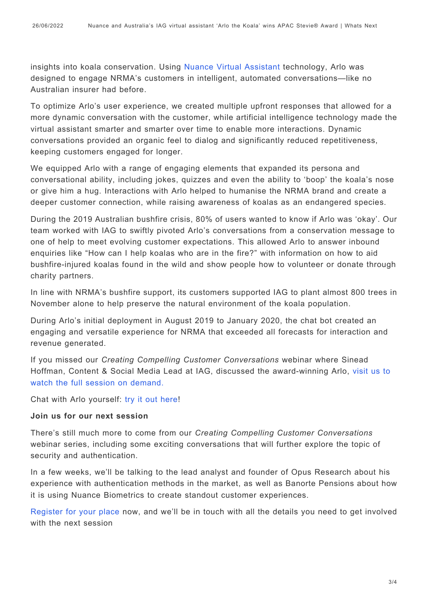insights into koala conservation. Using [Nuance Virtual Assistant](https://www.nuance.com/omni-channel-customer-engagement/digital-and-messaging-solutions/virtual-assistant-and-chatbot.html) technology, Arlo was designed to engage NRMA's customers in intelligent, automated conversations—like no Australian insurer had before.

To optimize Arlo's user experience, we created multiple upfront responses that allowed for a more dynamic conversation with the customer, while artificial intelligence technology made the virtual assistant smarter and smarter over time to enable more interactions. Dynamic conversations provided an organic feel to dialog and significantly reduced repetitiveness, keeping customers engaged for longer.

We equipped Arlo with a range of engaging elements that expanded its persona and conversational ability, including jokes, quizzes and even the ability to 'boop' the koala's nose or give him a hug. Interactions with Arlo helped to humanise the NRMA brand and create a deeper customer connection, while raising awareness of koalas as an endangered species.

During the 2019 Australian bushfire crisis, 80% of users wanted to know if Arlo was 'okay'. Our team worked with IAG to swiftly pivoted Arlo's conversations from a conservation message to one of help to meet evolving customer expectations. This allowed Arlo to answer inbound enquiries like "How can I help koalas who are in the fire?" with information on how to aid bushfire-injured koalas found in the wild and show people how to volunteer or donate through charity partners.

In line with NRMA's bushfire support, its customers supported IAG to plant almost 800 trees in November alone to help preserve the natural environment of the koala population.

During Arlo's initial deployment in August 2019 to January 2020, the chat bot created an engaging and versatile experience for NRMA that exceeded all forecasts for interaction and revenue generated.

If you missed our *Creating Compelling Customer Conversations* webinar where Sinead Hoffman, Content & Social Media Lead at IAG, discussed the award-winning Arlo, [visit us to](https://www.nuance.com/en-au/omni-channel-customer-engagement/landing/webinar/sinead-hoffman-IAG-interview.html) [watch the full session on demand.](https://www.nuance.com/en-au/omni-channel-customer-engagement/landing/webinar/sinead-hoffman-IAG-interview.html)

Chat with Arlo yourself: [try it out here!](https://www.nrma.com.au/koala/the_koala_experience)

#### **Join us for our next session**

There's still much more to come from our *Creating Compelling Customer Conversations* webinar series, including some exciting conversations that will further explore the topic of security and authentication.

In a few weeks, we'll be talking to the lead analyst and founder of Opus Research about his experience with authentication methods in the market, as well as Banorte Pensions about how it is using Nuance Biometrics to create standout customer experiences.

[Register for your place n](https://www.nuance.com/omni-channel-customer-engagement/landing/event/explore.html)ow, and we'll be in touch with all the details you need to get involved with the next session